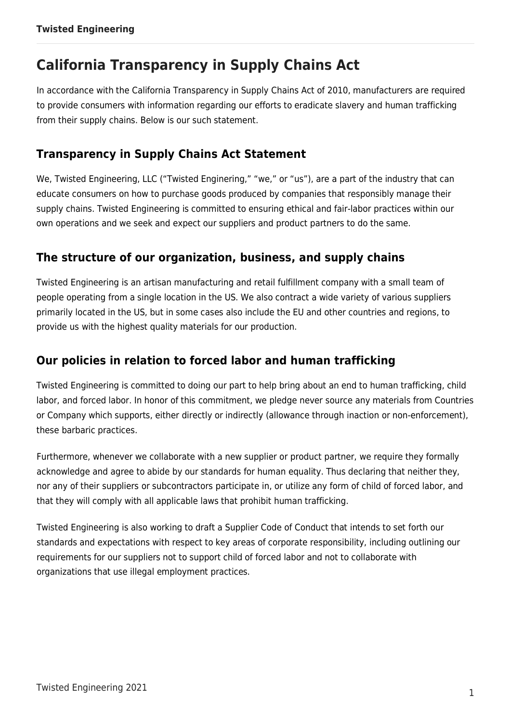# **California Transparency in Supply Chains Act**

In accordance with the California Transparency in Supply Chains Act of 2010, manufacturers are required to provide consumers with information regarding our efforts to eradicate slavery and human trafficking from their supply chains. Below is our such statement.

# **Transparency in Supply Chains Act Statement**

We, Twisted Engineering, LLC ("Twisted Enginering," "we," or "us"), are a part of the industry that can educate consumers on how to purchase goods produced by companies that responsibly manage their supply chains. Twisted Engineering is committed to ensuring ethical and fair-labor practices within our own operations and we seek and expect our suppliers and product partners to do the same.

### **The structure of our organization, business, and supply chains**

Twisted Engineering is an artisan manufacturing and retail fulfillment company with a small team of people operating from a single location in the US. We also contract a wide variety of various suppliers primarily located in the US, but in some cases also include the EU and other countries and regions, to provide us with the highest quality materials for our production.

# **Our policies in relation to forced labor and human trafficking**

Twisted Engineering is committed to doing our part to help bring about an end to human trafficking, child labor, and forced labor. In honor of this commitment, we pledge never source any materials from Countries or Company which supports, either directly or indirectly (allowance through inaction or non-enforcement), these barbaric practices.

Furthermore, whenever we collaborate with a new supplier or product partner, we require they formally acknowledge and agree to abide by our standards for human equality. Thus declaring that neither they, nor any of their suppliers or subcontractors participate in, or utilize any form of child of forced labor, and that they will comply with all applicable laws that prohibit human trafficking.

Twisted Engineering is also working to draft a Supplier Code of Conduct that intends to set forth our standards and expectations with respect to key areas of corporate responsibility, including outlining our requirements for our suppliers not to support child of forced labor and not to collaborate with organizations that use illegal employment practices.